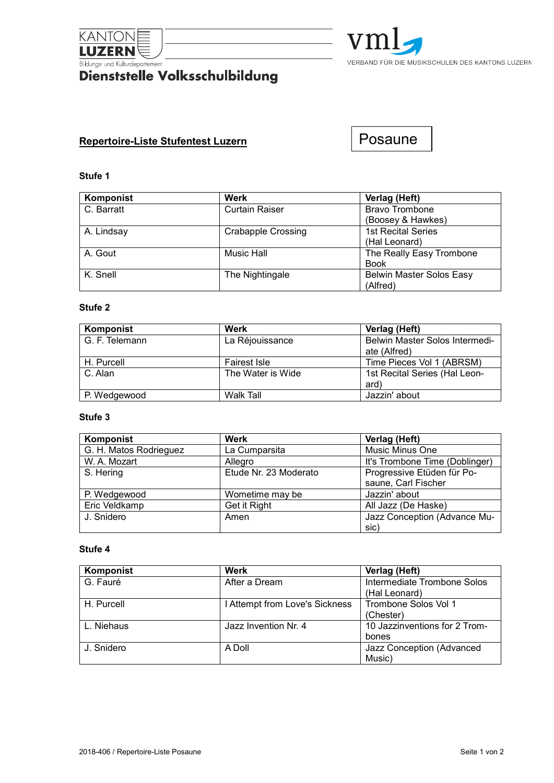

# **Bildungs-und Kulturdepartement**<br>Dienststelle Volksschulbildung



## **Repertoire-Liste Stufentest Luzern**

Posaune

#### **Stufe 1**

| Komponist  | Werk                      | Verlag (Heft)                   |
|------------|---------------------------|---------------------------------|
| C. Barratt | <b>Curtain Raiser</b>     | <b>Bravo Trombone</b>           |
|            |                           | (Boosey & Hawkes)               |
| A. Lindsay | <b>Crabapple Crossing</b> | <b>1st Recital Series</b>       |
|            |                           | (Hal Leonard)                   |
| A. Gout    | Music Hall                | The Really Easy Trombone        |
|            |                           | <b>Book</b>                     |
| K. Snell   | The Nightingale           | <b>Belwin Master Solos Easy</b> |
|            |                           | (Alfred)                        |

## **Stufe 2**

| Komponist      | Werk                | Verlag (Heft)                  |
|----------------|---------------------|--------------------------------|
| G. F. Telemann | La Réjouissance     | Belwin Master Solos Intermedi- |
|                |                     | ate (Alfred)                   |
| H. Purcell     | <b>Fairest Isle</b> | Time Pieces Vol 1 (ABRSM)      |
| C. Alan        | The Water is Wide   | 1st Recital Series (Hal Leon-  |
|                |                     | ard)                           |
| P. Wedgewood   | Walk Tall           | Jazzin' about                  |

#### **Stufe 3**

| Komponist              | Werk                  | Verlag (Heft)                                     |
|------------------------|-----------------------|---------------------------------------------------|
| G. H. Matos Rodrieguez | La Cumparsita         | Music Minus One                                   |
| W. A. Mozart           | Allegro               | It's Trombone Time (Doblinger)                    |
| S. Hering              | Etude Nr. 23 Moderato | Progressive Etüden für Po-<br>saune, Carl Fischer |
| P. Wedgewood           | Wometime may be       | Jazzin' about                                     |
| Eric Veldkamp          | Get it Right          | All Jazz (De Haske)                               |
| J. Snidero             | Amen                  | Jazz Conception (Advance Mu-<br>sic)              |

#### **Stufe 4**

| Komponist  | Werk                           | Verlag (Heft)                 |
|------------|--------------------------------|-------------------------------|
| G. Fauré   | After a Dream                  | Intermediate Trombone Solos   |
|            |                                | (Hal Leonard)                 |
| H. Purcell | I Attempt from Love's Sickness | Trombone Solos Vol 1          |
|            |                                | (Chester)                     |
| L. Niehaus | Jazz Invention Nr. 4           | 10 Jazzinventions for 2 Trom- |
|            |                                | bones                         |
| J. Snidero | A Doll                         | Jazz Conception (Advanced     |
|            |                                | Music)                        |